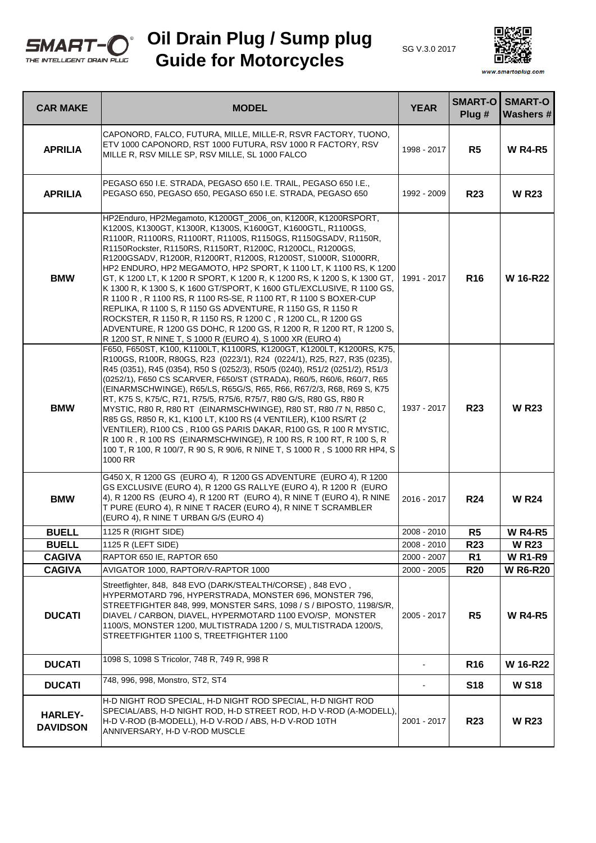

## **Oil Drain Plug / Sump plug Guide for Motorcycles**





www.smartoplug.com

| <b>CAR MAKE</b>                   | <b>MODEL</b>                                                                                                                                                                                                                                                                                                                                                                                                                                                                                                                                                                                                                                                                                                                                                                                                                                                                                        | <b>YEAR</b> | <b>SMART-O</b><br>Plug # | <b>SMART-O</b><br><b>Washers#</b> |
|-----------------------------------|-----------------------------------------------------------------------------------------------------------------------------------------------------------------------------------------------------------------------------------------------------------------------------------------------------------------------------------------------------------------------------------------------------------------------------------------------------------------------------------------------------------------------------------------------------------------------------------------------------------------------------------------------------------------------------------------------------------------------------------------------------------------------------------------------------------------------------------------------------------------------------------------------------|-------------|--------------------------|-----------------------------------|
| <b>APRILIA</b>                    | CAPONORD, FALCO, FUTURA, MILLE, MILLE-R, RSVR FACTORY, TUONO,<br>ETV 1000 CAPONORD, RST 1000 FUTURA, RSV 1000 R FACTORY, RSV<br>MILLE R, RSV MILLE SP, RSV MILLE, SL 1000 FALCO                                                                                                                                                                                                                                                                                                                                                                                                                                                                                                                                                                                                                                                                                                                     | 1998 - 2017 | R <sub>5</sub>           | <b>W R4-R5</b>                    |
| <b>APRILIA</b>                    | PEGASO 650 I.E. STRADA, PEGASO 650 I.E. TRAIL, PEGASO 650 I.E.,<br>PEGASO 650, PEGASO 650, PEGASO 650 I.E. STRADA, PEGASO 650                                                                                                                                                                                                                                                                                                                                                                                                                                                                                                                                                                                                                                                                                                                                                                       | 1992 - 2009 | <b>R23</b>               | <b>W R23</b>                      |
| <b>BMW</b>                        | HP2Enduro, HP2Megamoto, K1200GT_2006_on, K1200R, K1200RSPORT,<br>K1200S, K1300GT, K1300R, K1300S, K1600GT, K1600GTL, R1100GS,<br>R1100R, R1100RS, R1100RT, R1100S, R1150GS, R1150GSADV, R1150R,<br>R1150Rockster, R1150RS, R1150RT, R1200C, R1200CL, R1200GS,<br>R1200GSADV, R1200R, R1200RT, R1200S, R1200ST, S1000R, S1000RR,<br>HP2 ENDURO, HP2 MEGAMOTO, HP2 SPORT, K 1100 LT, K 1100 RS, K 1200<br>GT, K 1200 LT, K 1200 R SPORT, K 1200 R, K 1200 RS, K 1200 S, K 1300 GT,<br>K 1300 R, K 1300 S, K 1600 GT/SPORT, K 1600 GTL/EXCLUSIVE, R 1100 GS,<br>R 1100 R, R 1100 RS, R 1100 RS-SE, R 1100 RT, R 1100 S BOXER-CUP<br>REPLIKA, R 1100 S, R 1150 GS ADVENTURE, R 1150 GS, R 1150 R<br>ROCKSTER, R 1150 R, R 1150 RS, R 1200 C, R 1200 CL, R 1200 GS<br>ADVENTURE, R 1200 GS DOHC, R 1200 GS, R 1200 R, R 1200 RT, R 1200 S,<br>R 1200 ST, R NINE T, S 1000 R (EURO 4), S 1000 XR (EURO 4) | 1991 - 2017 | <b>R16</b>               | W 16-R22                          |
| <b>BMW</b>                        | F650, F650ST, K100, K1100LT, K1100RS, K1200GT, K1200LT, K1200RS, K75,<br>R100GS, R100R, R80GS, R23 (0223/1), R24 (0224/1), R25, R27, R35 (0235),<br>R45 (0351), R45 (0354), R50 S (0252/3), R50/5 (0240), R51/2 (0251/2), R51/3<br>(0252/1), F650 CS SCARVER, F650/ST (STRADA), R60/5, R60/6, R60/7, R65<br>(EINARMSCHWINGE), R65/LS, R65G/S, R65, R66, R67/2/3, R68, R69 S, K75<br>RT, K75 S, K75/C, R71, R75/5, R75/6, R75/7, R80 G/S, R80 GS, R80 R<br>MYSTIC, R80 R, R80 RT (EINARMSCHWINGE), R80 ST, R80 /7 N, R850 C,<br>R85 GS, R850 R, K1, K100 LT, K100 RS (4 VENTILER), K100 RS/RT (2<br>VENTILER), R100 CS, R100 GS PARIS DAKAR, R100 GS, R 100 R MYSTIC,<br>R 100 R, R 100 RS (EINARMSCHWINGE), R 100 RS, R 100 RT, R 100 S, R<br>100 T, R 100, R 100/7, R 90 S, R 90/6, R NINE T, S 1000 R, S 1000 RR HP4, S<br>1000 RR                                                                | 1937 - 2017 | <b>R23</b>               | <b>W R23</b>                      |
| <b>BMW</b>                        | G450 X, R 1200 GS (EURO 4), R 1200 GS ADVENTURE (EURO 4), R 1200<br>GS EXCLUSIVE (EURO 4), R 1200 GS RALLYE (EURO 4), R 1200 R (EURO<br>4), R 1200 RS (EURO 4), R 1200 RT (EURO 4), R NINE T (EURO 4), R NINE<br>T PURE (EURO 4), R NINE T RACER (EURO 4), R NINE T SCRAMBLER<br>(EURO 4), R NINE T URBAN G/S (EURO 4)                                                                                                                                                                                                                                                                                                                                                                                                                                                                                                                                                                              | 2016 - 2017 | <b>R24</b>               | <b>W R24</b>                      |
| <b>BUELL</b>                      | 1125 R (RIGHT SIDE)                                                                                                                                                                                                                                                                                                                                                                                                                                                                                                                                                                                                                                                                                                                                                                                                                                                                                 | 2008 - 2010 | R <sub>5</sub>           | <b>W R4-R5</b>                    |
| <b>BUELL</b>                      | 1125 R (LEFT SIDE)                                                                                                                                                                                                                                                                                                                                                                                                                                                                                                                                                                                                                                                                                                                                                                                                                                                                                  | 2008 - 2010 | <b>R23</b>               | <b>W R23</b>                      |
| <b>CAGIVA</b>                     | RAPTOR 650 IE, RAPTOR 650                                                                                                                                                                                                                                                                                                                                                                                                                                                                                                                                                                                                                                                                                                                                                                                                                                                                           | 2000 - 2007 | R <sub>1</sub>           | <b>W R1-R9</b>                    |
| <b>CAGIVA</b>                     | AVIGATOR 1000, RAPTOR/V-RAPTOR 1000                                                                                                                                                                                                                                                                                                                                                                                                                                                                                                                                                                                                                                                                                                                                                                                                                                                                 | 2000 - 2005 | <b>R20</b>               | <b>W R6-R20</b>                   |
| <b>DUCATI</b>                     | Streetfighter, 848, 848 EVO (DARK/STEALTH/CORSE), 848 EVO,<br>HYPERMOTARD 796, HYPERSTRADA, MONSTER 696, MONSTER 796,<br>STREETFIGHTER 848, 999, MONSTER S4RS, 1098 / S / BIPOSTO, 1198/S/R,<br>DIAVEL / CARBON, DIAVEL, HYPERMOTARD 1100 EVO/SP, MONSTER<br>1100/S, MONSTER 1200, MULTISTRADA 1200 / S, MULTISTRADA 1200/S,<br>STREETFIGHTER 1100 S, TREETFIGHTER 1100                                                                                                                                                                                                                                                                                                                                                                                                                                                                                                                             | 2005 - 2017 | R5                       | <b>W R4-R5</b>                    |
| <b>DUCATI</b>                     | 1098 S. 1098 S Tricolor, 748 R, 749 R, 998 R                                                                                                                                                                                                                                                                                                                                                                                                                                                                                                                                                                                                                                                                                                                                                                                                                                                        | $\sim$      | <b>R16</b>               | W 16-R22                          |
| <b>DUCATI</b>                     | 748, 996, 998, Monstro, ST2, ST4                                                                                                                                                                                                                                                                                                                                                                                                                                                                                                                                                                                                                                                                                                                                                                                                                                                                    |             | <b>S18</b>               | <b>W S18</b>                      |
| <b>HARLEY-</b><br><b>DAVIDSON</b> | H-D NIGHT ROD SPECIAL, H-D NIGHT ROD SPECIAL, H-D NIGHT ROD<br>SPECIAL/ABS, H-D NIGHT ROD, H-D STREET ROD, H-D V-ROD (A-MODELL).<br>H-D V-ROD (B-MODELL), H-D V-ROD / ABS, H-D V-ROD 10TH<br>ANNIVERSARY, H-D V-ROD MUSCLE                                                                                                                                                                                                                                                                                                                                                                                                                                                                                                                                                                                                                                                                          | 2001 - 2017 | <b>R23</b>               | <b>WR23</b>                       |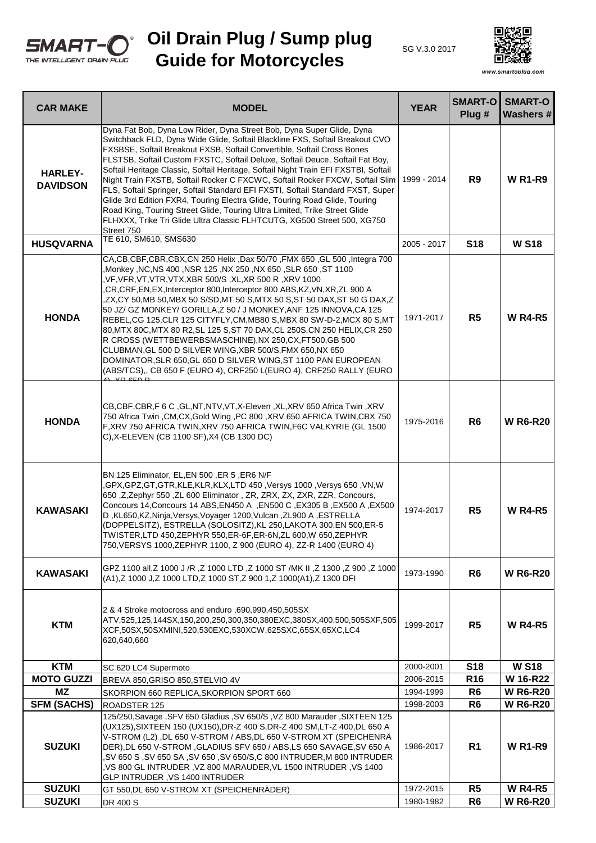

## **Oil Drain Plug / Sump plug Guide for Motorcycles**





www.smartoplug.com

| <b>CAR MAKE</b>                     | <b>MODEL</b>                                                                                                                                                                                                                                                                                                                                                                                                                                                                                                                                                                                                                                                                                                                                                                                                                                                                   | <b>YEAR</b>            | <b>SMART-O</b><br>Plug #         | <b>SMART-O</b><br><b>Washers#</b> |
|-------------------------------------|--------------------------------------------------------------------------------------------------------------------------------------------------------------------------------------------------------------------------------------------------------------------------------------------------------------------------------------------------------------------------------------------------------------------------------------------------------------------------------------------------------------------------------------------------------------------------------------------------------------------------------------------------------------------------------------------------------------------------------------------------------------------------------------------------------------------------------------------------------------------------------|------------------------|----------------------------------|-----------------------------------|
| <b>HARLEY-</b><br><b>DAVIDSON</b>   | Dyna Fat Bob, Dyna Low Rider, Dyna Street Bob, Dyna Super Glide, Dyna<br>Switchback FLD, Dyna Wide Glide, Softail Blackline FXS, Softail Breakout CVO<br>FXSBSE, Softail Breakout FXSB, Softail Convertible, Softail Cross Bones<br>FLSTSB, Softail Custom FXSTC, Softail Deluxe, Softail Deuce, Softail Fat Boy,<br>Softail Heritage Classic, Softail Heritage, Softail Night Train EFI FXSTBI, Softail<br>Night Train FXSTB, Softail Rocker C FXCWC, Softail Rocker FXCW, Softail Slim<br>FLS, Softail Springer, Softail Standard EFI FXSTI, Softail Standard FXST, Super<br>Glide 3rd Edition FXR4, Touring Electra Glide, Touring Road Glide, Touring<br>Road King, Touring Street Glide, Touring Ultra Limited, Trike Street Glide<br>FLHXXX, Trike Tri Glide Ultra Classic FLHTCUTG, XG500 Street 500, XG750<br>Street 750                                               | 1999 - 2014            | R <sub>9</sub>                   | <b>W R1-R9</b>                    |
| <b>HUSQVARNA</b>                    | TE 610, SM610, SMS630                                                                                                                                                                                                                                                                                                                                                                                                                                                                                                                                                                                                                                                                                                                                                                                                                                                          | 2005 - 2017            | <b>S18</b>                       | <b>W S18</b>                      |
| <b>HONDA</b>                        | CA, CB, CBF, CBR, CBX, CN 250 Helix, Dax 50/70, FMX 650, GL 500, Integra 700<br>1100, NX 650 ,SLR 650, ST 1100, NMonkey ,NC,NS 400 ,NSR 125, NX 250, NX 650,<br>VF,VFR,VT,VTR,VTX,XBR 500/S ,XL,XR 500 R ,XRV 1000,<br>,CR,CRF,EN,EX,Interceptor 800,Interceptor 800 ABS,KZ,VN,XR,ZL 900 A<br>ZX,CY 50,MB 50,MBX 50 S/SD,MT 50 S,MTX 50 S,ST 50 DAX,ST 50 G DAX,Z<br>50 JZ/ GZ MONKEY/ GORILLA, Z 50 / J MONKEY, ANF 125 INNOVA, CA 125<br>REBEL, CG 125, CLR 125 CITYFLY, CM, MB80 S, MBX 80 SW-D-2, MCX 80 S, MT<br>80, MTX 80C, MTX 80 R2, SL 125 S, ST 70 DAX, CL 250S, CN 250 HELIX, CR 250<br>R CROSS (WETTBEWERBSMASCHINE), NX 250, CX, FT500, GB 500<br>CLUBMAN, GL 500 D SILVER WING, XBR 500/S, FMX 650, NX 650<br>DOMINATOR, SLR 650, GL 650 D SILVER WING, ST 1100 PAN EUROPEAN<br>(ABS/TCS),, CB 650 F (EURO 4), CRF250 L(EURO 4), CRF250 RALLY (EURO<br>VD CEO D | 1971-2017              | R <sub>5</sub>                   | <b>W R4-R5</b>                    |
| <b>HONDA</b>                        | CB, CBF, CBR, F 6 C, GL, NT, NTV, VT, X-Eleven, XL, XRV 650 Africa Twin, XRV<br>750 Africa Twin, CM, CX, Gold Wing, PC 800, XRV 650 AFRICA TWIN, CBX 750<br>F, XRV 750 AFRICA TWIN, XRV 750 AFRICA TWIN, F6C VALKYRIE (GL 1500<br>C), X-ELEVEN (CB 1100 SF), X4 (CB 1300 DC)                                                                                                                                                                                                                                                                                                                                                                                                                                                                                                                                                                                                   | 1975-2016              | R <sub>6</sub>                   | <b>W R6-R20</b>                   |
| <b>KAWASAKI</b>                     | BN 125 Eliminator, EL,EN 500, ER 5, ER6 N/F<br>,GPX,GPZ,GT,GTR,KLE,KLR,KLX,LTD 450 ,Versys 1000 ,Versys 650 ,VN,W<br>650, Z, Zephyr 550, ZL 600 Eliminator, ZR, ZRX, ZX, ZXR, ZZR, Concours,<br>Concours 14, Concours 14 ABS, EN450 A , EN500 C, EX305 B, EX500 A, EX500<br>D, KL650, KZ, Ninja, Versys, Voyager 1200, Vulcan, ZL900 A, ESTRELLA<br>(DOPPELSITZ), ESTRELLA (SOLOSITZ), KL 250, LAKOTA 300, EN 500, ER-5<br>TWISTER, LTD 450, ZEPHYR 550, ER-6F, ER-6N, ZL 600, W 650, ZEPHYR<br>750, VERSYS 1000, ZEPHYR 1100, Z 900 (EURO 4), ZZ-R 1400 (EURO 4)                                                                                                                                                                                                                                                                                                              | 1974-2017              | R <sub>5</sub>                   | <b>W R4-R5</b>                    |
| <b>KAWASAKI</b>                     | GPZ 1100 all, Z 1000 J /R, Z 1000 LTD, Z 1000 ST /MK II, Z 1300, Z 900, Z 1000<br>(A1), Z 1000 J, Z 1000 LTD, Z 1000 ST, Z 900 1, Z 1000 (A1), Z 1300 DFI                                                                                                                                                                                                                                                                                                                                                                                                                                                                                                                                                                                                                                                                                                                      | 1973-1990              | R <sub>6</sub>                   | <b>W R6-R20</b>                   |
| <b>KTM</b>                          | 2 & 4 Stroke motocross and enduro ,690,990,450,505SX<br>ATV,525,125,144SX,150,200,250,300,350,380EXC,380SX,400,500,505SXF,505<br>XCF,50SX,50SXMINI,520,530EXC,530XCW,625SXC,65SX,65XC,LC4<br>620,640,660                                                                                                                                                                                                                                                                                                                                                                                                                                                                                                                                                                                                                                                                       | 1999-2017              | R <sub>5</sub>                   | <b>W R4-R5</b>                    |
| <b>KTM</b>                          | SC 620 LC4 Supermoto                                                                                                                                                                                                                                                                                                                                                                                                                                                                                                                                                                                                                                                                                                                                                                                                                                                           | 2000-2001              | <b>S18</b>                       | <b>W S18</b>                      |
| <b>MOTO GUZZI</b>                   | BREVA 850, GRISO 850, STELVIO 4V                                                                                                                                                                                                                                                                                                                                                                                                                                                                                                                                                                                                                                                                                                                                                                                                                                               | 2006-2015              | <b>R16</b>                       | W 16-R22                          |
| ΜZ                                  | SKORPION 660 REPLICA, SKORPION SPORT 660                                                                                                                                                                                                                                                                                                                                                                                                                                                                                                                                                                                                                                                                                                                                                                                                                                       | 1994-1999              | R <sub>6</sub>                   | <b>W R6-R20</b>                   |
| <b>SFM (SACHS)</b><br><b>SUZUKI</b> | ROADSTER 125<br>125/250, Savage , SFV 650 Gladius , SV 650/S , VZ 800 Marauder , SIXTEEN 125<br>(UX125), SIXTEEN 150 (UX150), DR-Z 400 S, DR-Z 400 SM, LT-Z 400, DL 650 A<br>V-STROM (L2), DL 650 V-STROM / ABS, DL 650 V-STROM XT (SPEICHENRÄ<br>DER), DL 650 V-STROM, GLADIUS SFV 650 / ABS, LS 650 SAVAGE, SV 650 A<br>,SV 650 S ,SV 650 SA ,SV 650 ,SV 650/S,C 800 INTRUDER,M 800 INTRUDER<br>VS 800 GL INTRUDER , VZ 800 MARAUDER, VL 1500 INTRUDER , VS 1400,<br>GLP INTRUDER, VS 1400 INTRUDER                                                                                                                                                                                                                                                                                                                                                                          | 1998-2003<br>1986-2017 | R <sub>6</sub><br>R <sub>1</sub> | <b>W R6-R20</b><br><b>W R1-R9</b> |
| <b>SUZUKI</b>                       | GT 550,DL 650 V-STROM XT (SPEICHENRÄDER)                                                                                                                                                                                                                                                                                                                                                                                                                                                                                                                                                                                                                                                                                                                                                                                                                                       | 1972-2015              | R <sub>5</sub>                   | <b>W R4-R5</b>                    |
| <b>SUZUKI</b>                       | DR 400 S                                                                                                                                                                                                                                                                                                                                                                                                                                                                                                                                                                                                                                                                                                                                                                                                                                                                       | 1980-1982              | R <sub>6</sub>                   | <b>W R6-R20</b>                   |